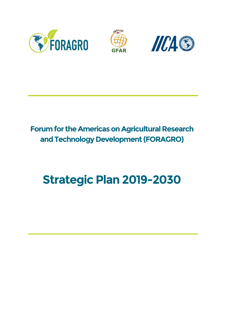





## **Forum for the Americas on Agricultural Research and Technology Development (FORAGRO)**

# **Strategic Plan 2019-2030**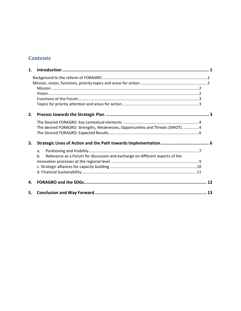## **Contents**

| 1. |                                                                                    |    |
|----|------------------------------------------------------------------------------------|----|
|    |                                                                                    |    |
|    |                                                                                    |    |
|    |                                                                                    |    |
|    |                                                                                    |    |
|    |                                                                                    |    |
|    |                                                                                    |    |
| 2. |                                                                                    |    |
|    |                                                                                    |    |
|    | The desired FORAGRO: Strengths, Weaknesses, Opportunities and Threats (SWOT). 4    |    |
|    |                                                                                    |    |
| 3. |                                                                                    |    |
|    | a.                                                                                 |    |
|    | Relevance as a Forum for discussion and exchange on different aspects of the<br>b. |    |
|    |                                                                                    |    |
|    |                                                                                    |    |
|    |                                                                                    |    |
| 4. |                                                                                    |    |
| 5. |                                                                                    | 13 |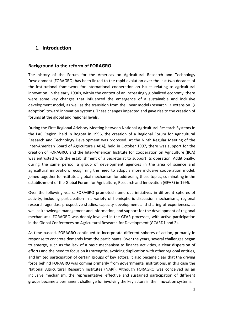## <span id="page-2-0"></span>**1. Introduction**

#### <span id="page-2-1"></span>**Background to the reform of FORAGRO**

The history of the Forum for the Americas on Agricultural Research and Technology Development (FORAGRO) has been linked to the rapid evolution over the last two decades of the institutional framework for international cooperation on issues relating to agricultural innovation. In the early 1990s, within the context of an increasingly globalized economy, there were some key changes that influenced the emergence of a sustainable and inclusive development model, as well as the transition from the linear model (research  $\rightarrow$  extension  $\rightarrow$ adoption) toward innovation systems. These changes impacted and gave rise to the creation of forums at the global and regional levels.

During the First Regional Advisory Meeting between National Agricultural Research Systems in the LAC Region, held in Bogota in 1996, the creation of a Regional Forum for Agricultural Research and Technology Development was proposed. At the Ninth Regular Meeting of the Inter-American Board of Agriculture (IABA), held in October 1997, there was support for the creation of FORAGRO, and the Inter-American Institute for Cooperation on Agriculture (IICA) was entrusted with the establishment of a Secretariat to support its operation. Additionally, during the same period, a group of development agencies in the area of science and agricultural innovation, recognizing the need to adopt a more inclusive cooperation model, joined together to institute a global mechanism for addressing these topics, culminating in the establishment of the Global Forum for Agriculture, Research and Innovation (GFAR) in 1996.

Over the following years, FORAGRO promoted numerous initiatives in different spheres of activity, including participation in a variety of hemispheric discussion mechanisms, regional research agendas, prospective studies, capacity development and sharing of experiences, as well as knowledge management and information, and support for the development of regional mechanisms. FORAGRO was deeply involved in the GFAR processes, with active participation in the Global Conferences on Agricultural Research for Development (GCARD1 and 2).

As time passed, FORAGRO continued to incorporate different spheres of action, primarily in response to concrete demands from the participants. Over the years, several challenges began to emerge, such as the lack of a basic mechanism to finance activities, a clear dispersion of efforts and the need to focus on its strengths, avoiding duplication with other regional entities, and limited participation of certain groups of key actors. It also became clear that the driving force behind FORAGRO was coming primarily from governmental institutions, in this case the National Agricultural Research Institutes (NARI). Although FORAGRO was conceived as an inclusive mechanism, the representative, effective and sustained participation of different groups became a permanent challenge for involving the key actors in the innovation systems.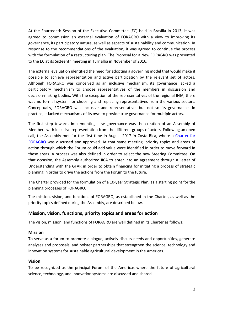At the Fourteenth Session of the Executive Committee (EC) held in Brasilia in 2013, it was agreed to commission an external evaluation of FORAGRO with a view to improving its governance, its participatory nature, as well as aspects of sustainability and communication. In response to the recommendations of the evaluation, it was agreed to continue the process with the formulation of a restructuring plan. The Proposal for a New FORAGRO was presented to the EC at its Sixteenth meeting in Turrialba in November of 2016.

The external evaluation identified the need for adopting a governing model that would make it possible to achieve representation and active participation by the relevant set of actors. Although FORAGRO was conceived as an inclusive mechanism, its governance lacked a participatory mechanism to choose representatives of the members in discussion and decision-making bodies. With the exception of the representatives of the regional INIA, there was no formal system for choosing and replacing representatives from the various sectors. Conceptually, FORAGRO was inclusive and representative, but not so its governance. In practice, it lacked mechanisms of its own to provide true governance for multiple actors.

The first step towards implementing new governance was the creation of an Assembly of Members with inclusive representation from the different groups of actors. Following an open call, the Assembly met for the first time in August 2017 in Costa Rica, where a Charter for [FORAGRO](http://www.foragro.org/sites/default/files/2018-06/FORAGRO%20Charter_English%20version%20of%20what%20was%20signed%20in%20Spanish.pdf) was discussed and approved. At that same meeting, priority topics and areas of action through which the Forum could add value were identified in order to move forward in these areas. A process was also defined in order to select the new Steering Committee. On that occasion, the Assembly authorized IICA to enter into an agreement through a Letter of Understanding with the GFAR in order to obtain financing for initiating a process of strategic planning in order to drive the actions from the Forum to the future.

The Charter provided for the formulation of a 10-year Strategic Plan, as a starting point for the planning processes of FORAGRO.

The mission, vision, and functions of FORAGRO, as established in the Charter, as well as the priority topics defined during the Assembly, are described below.

## <span id="page-3-0"></span>**Mission, vision, functions, priority topics and areas for action**

The vision, mission, and functions of FORAGRO are well defined in its Charter as follows:

#### <span id="page-3-1"></span>**Mission**

To serve as a forum to promote dialogue, actively discuss needs and opportunities, generate analyses and proposals, and bolster partnerships that strengthen the science, technology and innovation systems for sustainable agricultural development in the Americas.

#### <span id="page-3-2"></span>**Vision**

To be recognized as the principal Forum of the Americas where the future of agricultural science, technology, and innovation systems are discussed and shared.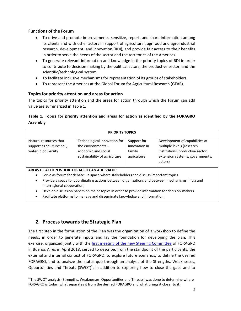## <span id="page-4-0"></span>**Functions of the Forum**

- To drive and promote improvements, sensitize, report, and share information among its clients and with other actors in support of agricultural, agrifood and agroindustrial research, development, and innovation (RDI), and provide fair access to their benefits in order to serve the needs of the sector and the territories of the Americas.
- To generate relevant information and knowledge in the priority topics of RDI in order to contribute to decision making by the political actors, the productive sector, and the scientific/technological system.
- To facilitate inclusive mechanisms for representation of its groups of stakeholders.
- To represent the Americas at the Global Forum for Agricultural Research (GFAR).

## <span id="page-4-1"></span>**Topics for priority attention and areas for action**

The topics for priority attention and the areas for action through which the Forum can add value are summarized in Table 1.

## **Table 1. Topics for priority attention and areas for action as identified by the FORAGRO Assembly**

| <b>PRIORITY TOPICS</b>                                                                           |                                                                                                            |                                                       |                                                                                                                                               |  |  |  |  |  |
|--------------------------------------------------------------------------------------------------|------------------------------------------------------------------------------------------------------------|-------------------------------------------------------|-----------------------------------------------------------------------------------------------------------------------------------------------|--|--|--|--|--|
| Natural resources that<br>support agriculture: soil,<br>water, biodiversity                      | Technological innovation for<br>the environmental,<br>economic and social<br>sustainability of agriculture | Support for<br>innovation in<br>family<br>agriculture | Development of capabilities at<br>multiple levels (research<br>institutions, productive sector,<br>extension systems, governments,<br>actors) |  |  |  |  |  |
| AREAS OF ACTION WHERE FORAGRO CAN ADD VALUE:                                                     |                                                                                                            |                                                       |                                                                                                                                               |  |  |  |  |  |
| Serve as forum for debate - a space where stakeholders can discuss important topics<br>$\bullet$ |                                                                                                            |                                                       |                                                                                                                                               |  |  |  |  |  |

- Provide a space for coordinating actions between organizations and between mechanisms (intra and interregional cooperation)
- Develop discussion papers on major topics in order to provide information for decision-makers
- Facilitate platforms to manage and disseminate knowledge and information.

## <span id="page-4-2"></span>**2. Process towards the Strategic Plan**

 $\overline{a}$ 

The first step in the formulation of the Plan was the organization of a workshop to define the needs, in order to generate inputs and lay the foundation for developing the plan. This exercise, organized jointly with the [first meeting of the new Steering Committee](http://www.foragro.org/en/documentos/minutes-first-meeting-steering-committee-foragro-buenos-aires-argentina-12-april-2018) of FORAGRO in Buenos Aires in April 2018, served to describe, from the standpoint of the participants, the external and internal context of FORAGRO, to explore future scenarios, to define the desired FORAGRO, and to analyze the status quo through an analysis of the Strengths, Weaknesses, Opportunities and Threats (SWOT)<sup>1</sup>, in addition to exploring how to close the gaps and to

 $^1$  The SWOT analysis (Strengths, Weaknesses, Opportunities and Threats) was done to determine where FORAGRO is today, what separates it from the desired FORAGRO and what brings it closer to it.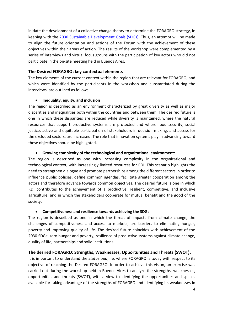initiate the development of a collective change theory to determine the FORAGRO strategy, in keeping with the [2030 Sustainable Development Goals \(SDGs\).](http://www.undp.org/content/undp/en/home/sustainable-development-goals.html) Thus, an attempt will be made to align the future orientation and actions of the Forum with the achievement of these objectives within their areas of action. The results of the workshop were complemented by a series of interviews and virtual focus groups with the participation of key actors who did not participate in the on-site meeting held in Buenos Aires.

#### <span id="page-5-0"></span>**The Desired FORAGRO: key contextual elements**

The key elements of the current context within the region that are relevant for FORAGRO, and which were identified by the participants in the workshop and substantiated during the interviews, are outlined as follows:

#### **Inequality, equity, and inclusion**

The region is described as an environment characterized by great diversity as well as major disparities and inequalities both within the countries and between them. The desired future is one in which these disparities are reduced while diversity is maintained, where the natural resources that support productive systems are protected and where food security, social justice, active and equitable participation of stakeholders in decision making, and access for the excluded sectors, are increased. The role that innovation systems play in advancing toward these objectives should be highlighted.

#### **Growing complexity of the technological and organizational environment:**

The region is described as one with increasing complexity in the organizational and technological context, with increasingly limited resources for RDI. This scenario highlights the need to strengthen dialogue and promote partnerships among the different sectors in order to influence public policies, define common agendas, facilitate greater cooperation among the actors and therefore advance towards common objectives. The desired future is one in which RDI contributes to the achievement of a productive, resilient, competitive, and inclusive agriculture, and in which the stakeholders cooperate for mutual benefit and the good of the society.

#### **Competitiveness and resilience towards achieving the SDGs**

The region is described as one in which the threat of impacts from climate change, the challenges of competitiveness and access to markets, are barriers to eliminating hunger, poverty and improving quality of life. The desired future coincides with achievement of the 2030 SDGs: zero hunger and poverty, resilience of productive systems against climate change, quality of life, partnerships and solid institutions.

#### <span id="page-5-1"></span>**The desired FORAGRO: Strengths, Weaknesses, Opportunities and Threats (SWOT).**

It is important to understand the *status quo*, i.e. where FORAGRO is today with respect to its objective of reaching the Desired FORAGRO. In order to achieve this vision, an exercise was carried out during the workshop held in Buenos Aires to analyze the strengths, weaknesses, opportunities and threats (SWOT), with a view to identifying the opportunities and spaces available for taking advantage of the strengths of FORAGRO and identifying its weaknesses in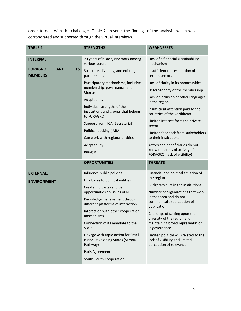order to deal with the challenges. Table 2 presents the findings of the analysis, which was corroborated and supported through the virtual interviews.

| <b>TABLE 2</b>                                               | <b>STRENGTHS</b>                                                                          | <b>WEAKNESSES</b>                                                                                    |  |
|--------------------------------------------------------------|-------------------------------------------------------------------------------------------|------------------------------------------------------------------------------------------------------|--|
| <b>INTERNAL:</b>                                             | 20 years of history and work among<br>various actors                                      | Lack of a financial sustainability<br>mechanism                                                      |  |
| <b>AND</b><br><b>ITS</b><br><b>FORAGRO</b><br><b>MEMBERS</b> | Structure, diversity, and existing<br>partnerships                                        | Insufficient representation of<br>certain sectors                                                    |  |
|                                                              | Participatory mechanisms, inclusive<br>membership, governance, and<br>Charter             | Lack of clarity in its opportunities                                                                 |  |
|                                                              |                                                                                           | Heterogeneity of the membership                                                                      |  |
|                                                              | Adaptability                                                                              | Lack of inclusion of other languages<br>in the region                                                |  |
|                                                              | Individual strengths of the<br>institutions and groups that belong<br>to FORAGRO          | Insufficient attention paid to the<br>countries of the Caribbean                                     |  |
|                                                              | Support from IICA (Secretariat)                                                           | Limited interest from the private<br>sector                                                          |  |
|                                                              | Political backing (IABA)                                                                  | Limited feedback from stakeholders                                                                   |  |
|                                                              | Can work with regional entities                                                           | to their institutions                                                                                |  |
|                                                              | Adaptability                                                                              | Actors and beneficiaries do not<br>know the areas of activity of                                     |  |
|                                                              | <b>Bilingual</b>                                                                          | FORAGRO (lack of visibility)                                                                         |  |
|                                                              | <b>OPPORTUNITIES</b>                                                                      | <b>THREATS</b>                                                                                       |  |
| <b>EXTERNAL:</b>                                             | Influence public policies                                                                 | Financial and political situation of                                                                 |  |
| <b>ENVIRONMENT</b>                                           | Link bases to political entities                                                          | the region                                                                                           |  |
|                                                              | Create multi-stakeholder                                                                  | Budgetary cuts in the institutions                                                                   |  |
|                                                              | opportunities on issues of RDI                                                            | Number of organizations that work<br>in that area and do not                                         |  |
|                                                              | Knowledge management through<br>different platforms of interaction                        | communicate (perception of<br>duplication)                                                           |  |
|                                                              | Interaction with other cooperation<br>mechanisms                                          | Challenge of seizing upon the<br>diversity of the region and                                         |  |
|                                                              | Connection of its mandate to the<br><b>SDGs</b>                                           | maintaining broad representation<br>in governance                                                    |  |
|                                                              | Linkage with rapid action for Small<br><b>Island Developing States (Samoa</b><br>Pathway) | Limited political will (related to the<br>lack of visibility and limited<br>perception of relevance) |  |
|                                                              | Paris Agreement                                                                           |                                                                                                      |  |
|                                                              | South-South Cooperation                                                                   |                                                                                                      |  |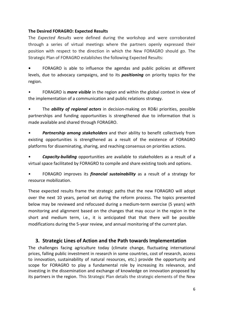## <span id="page-7-0"></span>**The Desired FORAGRO: Expected Results**

The *Expected Results* were defined during the workshop and were corroborated through a series of virtual meetings where the partners openly expressed their position with respect to the direction in which the New FORAGRO should go. The Strategic Plan of FORAGRO establishes the following Expected Results:

**•** FORAGRO is able to influence the agendas and public policies at different levels, due to advocacy campaigns, and to its *positioning* on priority topics for the region.

• FORAGRO is *more visible* in the region and within the global context in view of the implementation of a communication and public relations strategy.

• The *ability of regional actors* in decision-making on RD&I priorities, possible partnerships and funding opportunities is strengthened due to information that is made available and shared through FORAGRO.

• *Partnership among stakeholders* and their ability to benefit collectively from existing opportunities is strengthened as a result of the existence of FORAGRO platforms for disseminating, sharing, and reaching consensus on priorities actions.

• *Capacity-building* opportunities are available to stakeholders as a result of a virtual space facilitated by FORAGRO to compile and share existing tools and options.

• FORAGRO improves its *financial sustainability* as a result of a strategy for resource mobilization.

These expected results frame the strategic paths that the new FORAGRO will adopt over the next 10 years, period set during the reform process. The topics presented below may be reviewed and refocused during a medium-term exercise (5 years) with monitoring and alignment based on the changes that may occur in the region in the short and medium term, i.e., it is anticipated that that there will be possible modifications during the 5-year review, and annual monitoring of the current plan.

## <span id="page-7-1"></span>**3. Strategic Lines of Action and the Path towards Implementation**

The challenges facing agriculture today (climate change, fluctuating international prices, falling public investment in research in some countries, cost of research, access to innovation, sustainability of natural resources, etc.) provide the opportunity and scope for FORAGRO to play a fundamental role by increasing its relevance, and investing in the dissemination and exchange of knowledge on innovation proposed by its partners in the region. This Strategic Plan details the strategic elements of the New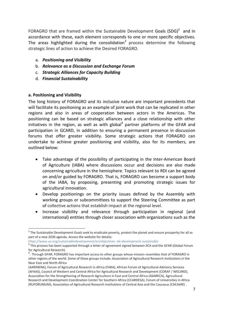FORAGRO that are framed within the Sustainable Development Goals  $(SDG)^2$  and in accordance with these, each element corresponds to one or more specific objectives. The areas highlighted during the consolidation<sup>3</sup> process determine the following strategic lines of action to achieve the Desired FORAGRO.

- a. *Positioning and Visibility*
- b. *Relevance as a Discussion and Exchange Forum*
- c. *Strategic Alliances for Capacity Building*
- d. *Financial Sustainability*

## <span id="page-8-0"></span>**a. Positioning and Visibility**

l

The long history of FORAGRO and its inclusive nature are important precedents that will facilitate its positioning as an example of joint work that can be replicated in other regions and also in areas of cooperation between actors in the Americas. The positioning can be based on strategic alliances and a close relationship with other initiatives in the region, as well as with global<sup>4</sup> partner platforms of the GFAR and participation in GCARD, in addition to ensuring a permanent presence in discussion forums that offer greater visibility. Some strategic actions that FORAGRO can undertake to achieve greater positioning and visibility, also for its members, are outlined below:

- Take advantage of the possibility of participating in the Inter-American Board of Agriculture (IABA) where discussions occur and decisions are also made concerning agriculture in the hemisphere. Topics relevant to RDI can be agreed on and/or guided by FORAGRO. That is, FORAGRO can become a support body of the IABA, by proposing, presenting and promoting strategic issues for agricultural innovation.
- Develop positionings on the priority issues defined by the Assembly with working groups or subcommittees to support the Steering Committee as part of collective actions that establish impact at the regional level.
- Increase visibility and relevance through participation in regional (and international) entities through closer association with organizations such as the

https://www.un.org/sustainabledevelopment/en/objectives -de-development-sustainable

<sup>&</sup>lt;sup>2</sup> The Sustainable Development Goals seek to eradicate poverty, protect the planet and ensure prosperity for all as part of a new 2030 agenda. Access the website for details:

 $3$  This process has been supported through a letter of agreement signed between IICA and the GFAR (Global Forum for Agricultural Research).

<sup>&</sup>lt;sup>4</sup>. Through GFAR, FORAGRO has important access to other groups whose mission resembles that of FORAGRO in other regions of the world. Some of these groups include: Association of Agricultural Research Institutions in the Near East and North Africa

<sup>(</sup>AARINENA), Forum of Agricultural Research in Africa (FARA), African Forum of Agricultural Advisory Services (AFAAS), Council of Western and Central Africa for Agricultural Research and Development (CORAF / WECARD), Association for the Strengthening of Research Agriculture in East and Central Africa (ASARECA), Agricultural Research and Development Coordination Center for Southern Africa (CCARDESA), Forum of Universities in Africa (RUFORUMUM), Association of Agricultural Research Institutions of Central Asia and the Caucasus (CACAARI) .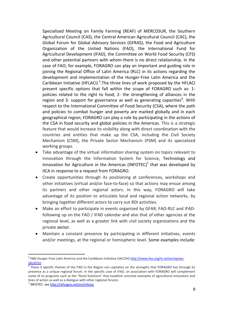Specialized Meeting on Family Farming (REAF) of MERCOSUR, the Southern Agricultural Council (CAS), the Central American Agricultural Council (CAC), the Global Forum for Global Advisory Services (GFRAS), the Food and Agriculture Organization of the United Nations (FAO), the International Fund for Agricultural Development (IFAD), the Committee on World Food Security (CFS) and other potential partners with whom there is no direct relationship. In the case of FAO, for example, FORAGRO can play an important and guiding role in joining the Regional Office of Latin America (RLC) in its actions regarding the development and implementation of the Hunger-Free Latin America and the Caribbean Initiative (HFLACI)<sup>5</sup>. The three lines of work proposed by the HFLACI present specific options that fall within the scope of FORAGRO such as: 1 policies related to the right to food; 2- the strengthening of alliances in the region and 3- support for governance as well as generating capacities<sup>6</sup>. With respect to the International Committee of Food Security (CSA), where the path and policies to combat hunger and poverty are marked globally and in each geographical region, FORAGRO can play a role by participating in the actions of the CSA in food security and global policies in the Americas. This is a strategic feature that would increase its visibility along with direct coordination with the countries and entities that make up the CSA, including the Civil Society Mechanism (CSM), the Private Sector Mechanism (PSM) and its specialized working groups.

- Take advantage of the virtual information sharing system on topics relevant to innovation through the Information System for Science, Technology and Innovation for Agriculture in the Americas (INFOTEC)<sup>7</sup> that was developed by IICA in response to a request from FORAGRO.
- Create opportunities through its positioning at conferences, workshops and other initiatives (virtual and/or face-to-face) so that actions may ensue among its partners and other regional actors. In this way, FORAGRO will take advantage of its position to articulate local and regional action networks, by bringing together different actors to carry out RDI activities.
- Make an effort to participate in events organized by GFAR, FAO-RLC and IFADfollowing up on the FAO / IFAD calendar and also that of other agencies at the regional level, as well as a greater link with civil society organizations and the private sector.
- Maintain a constant presence by participating in different initiatives, events and/or meetings, at the regional or hemispheric level. Some examples include:

 $\overline{a}$ 

<sup>&</sup>lt;sup>5</sup> FAO Hunger-Free Latin America and the Caribbean Initiative (IALCSH[\) http://www.fao.org/in-action/apoyo](http://www.fao.org/in-action/apoyo-ialcsh/en)[ialcsh/en](http://www.fao.org/in-action/apoyo-ialcsh/en)

<sup>&</sup>lt;sup>6</sup> These 3 specific themes of the FAO in the Region can capitalize on the strengths that FORAGRO has through its presence as a unique regional forum. In the specific case of IFAD, an association with FORAGRO will complement some of its programs such as the "Rural Solutions" that establish concrete examples of agricultural innovation and lines of action as well as a dialogue with other regional forums.

<sup>&</sup>lt;sup>7</sup> INFOTEC se[e http://infoagro.net/en/infotec](http://infoagro.net/en/infotec)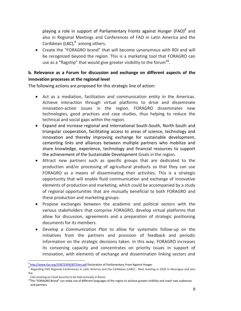<span id="page-10-0"></span>playing a role in support of Parliamentary Fronts against Hunger (FAO)<sup>8</sup> and also in Regional Meetings and Conferences of FAO in Latin America and the Caribbean (LAC),<sup>9</sup> among others.

 Create the "FORAGRO brand" that will become synonymous with RDI and will be recognized beyond the region. This is a marketing tool that FORAGRO can use as a "flagship" that would give greater visibility to the forum $^{10}$ .

## **b. Relevance as a Forum for discussion and exchange on different aspects of the innovation processes at the regional level**

The following actions are proposed for this strategic line of action:

- Act as a mediation, facilitation and communication entity in the Americas. Achieve interaction through virtual platforms to drive and disseminate innovation-action issues in the region. FORAGRO disseminates new technologies, good practices and case studies, thus helping to reduce the technical and social gaps within the region.
- Expand and increase regional and international South-South, North-South and triangular cooperation, facilitating access to areas of science, technology and innovation and thereby improving exchange for sustainable development, cementing links and alliances between multiple partners who mobilize and share knowledge, experience, technology and financial resources to support the achievement of the Sustainable Development Goals in the region.
- Attract new partners such as specific groups that are dedicated to the production and/or processing of agricultural products so that they can use FORAGRO as a means of disseminating their activities. This is a strategic opportunity that will enable fluid communication and exchange of innovative elements of production and marketing, which could be accompanied by a study of regional opportunities that are mutually beneficial to both FORAGRO and these production and marketing groups.
- Propose exchanges between the academic and political sectors with the various stakeholders that comprise FORAGRO, develop virtual platforms that allow for discussion, agreements and a preparation of strategic positioning documents for its members.
- Develop *a Communication Plan* to allow for systematic follow-up on the initiatives from the partners and provision of feedback and periodic information on the strategic decisions taken. In this way, FORAGRO increases its convening capacity and concentrates on priority issues in support of innovation, with elements of exchange and dissemination linking sectors and

 $\overline{\phantom{a}}$ <sup>8</sup> <http://www.fao.org/3/I8723EN/i8723en.pdf> Declaration of Parliamentary Front Against Hunger

<sup>&</sup>lt;sup>9</sup> Regarding FAO Regional Conferences in Latin America and the Caribbean (LARC) : Next meeting in 2020 in Nicaragua and also the

CAS meeting on Food Security to be held annually in Rome.

<sup>&</sup>lt;sup>10</sup>The "FORAGRO Brand" can make use of different languages of the region to achieve greater visibility and reach new audiences and partners.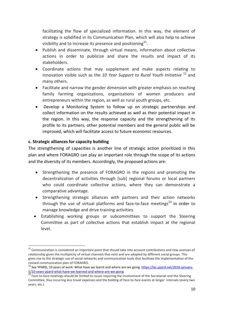facilitating the flow of specialized information. In this way, the element of strategy is solidified in its Communication Plan, which will also help to achieve visibility and to increase its presence and positioning $^{11}$ .

- Publish and disseminate, through virtual means, information about collective actions in order to publicize and share the results and impact of its stakeholders.
- Coordinate actions that may supplement and make aspects relating to innovation visible such as the *10 Year Support to Rural Youth Initiative* <sup>12</sup> and many others.
- Facilitate and narrow the gender dimension with greater emphasis on reaching family farming organizations, organizations of women producers and entrepreneurs within the region, as well as rural youth groups, etc.
- <span id="page-11-0"></span> Develop a Monitoring System to follow up on strategic partnerships and collect information on the results achieved as well as their potential impact in the region. In this way, the response capacity and the strengthening of its profile to its partners, other potential members and the general public will be improved, which will facilitate access to future economic resources.

## **c. Strategic alliances for capacity building**

 $\overline{\phantom{a}}$ 

The strengthening of capacities is another line of strategic action prioritized in this plan and where FORAGRO can play an important role through the scope of its actions and the diversity of its members. Accordingly, the proposed actions are:

- Strengthening the presence of FORAGRO in the regions and promoting the decentralization of activities through [sub] regional forums or local partners who could coordinate collective actions, where they can demonstrate a comparative advantage.
- Strengthening strategic alliances with partners and their action networks through the use of virtual platforms and face-to-face meetings<sup>13</sup> in order to manage knowledge and drive training activities.
- Establishing working groups or subcommittees to support the Steering Committee as part of collective actions that establish impact at the regional level.

<sup>&</sup>lt;sup>11</sup> Communication is considered an important point that should take into account contributions and new avenues of relationship given the multiplicity of virtual channels that exist and are adopted by different social groups. This gives rise to the strategic use of social networks and communication tools that facilitate the implementation of the revised communication plan of FORAGRO.

<sup>&</sup>lt;sup>12</sup> See YPARD, 10 years of work: What have we learnt and where are we going. [https://lac.ypard.net/2016-january-](https://lac.ypard.net/2016-january-5/10-years-ypard-what-have-we-learned-and-where-are-we-going)[5/10-years-ypard-what-have-we-learned-and-where-are-we-going](https://lac.ypard.net/2016-january-5/10-years-ypard-what-have-we-learned-and-where-are-we-going)

<sup>13</sup> Face-to-face meetings should be limited to issues requiring the involvement of the Secretariat and the Steering Committee, thus incurring less travel expenses and the holding of face-to-face events at longer intervals (every two years, etc.)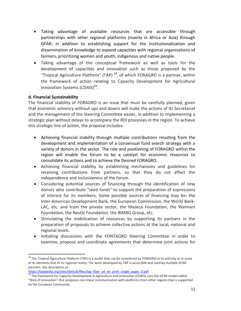- Taking advantage of available resources that are accessible through partnerships with other regional platforms (mainly in Africa or Asia) through GFAR; in addition to establishing support for the institutionalization and dissemination of knowledge to expand capacities with regional organizations of farmers, prioritizing women and youth, indigenous and native people.
- Taking advantage of the conceptual framework as well as tools for the development of capacities and innovation such as those proposed by the "Tropical Agriculture Platform" (TAP)  $^{14}$ , of which FORAGRO is a partner, within the framework of action relating to Capacity Development for Agricultural Innovation Systems (CDAIS)<sup>15</sup>.

## <span id="page-12-0"></span>**d. Financial Sustainability**

 $\overline{a}$ 

The financial stability of FORAGRO is an issue that must be carefully planned, given that economic solvency without ups and downs will make the actions of its Secretariat and the management of the Steering Committee easier, in addition to implementing a strategic plan without delays to accompany the RDI processes in the region. To achieve this strategic line of action, the proposal includes:

- Achieving financial stability through multiple contributions resulting from the development and implementation of a consensual fund search strategy with a variety of donors in the sector. The role and positioning of FORAGRO within the region will enable the forum to be a catalyst for economic resources to consolidate its actions and to achieve the Desired FORAGRO.
- Achieving financial stability by establishing mechanisms and guidelines for receiving contributions from partners, so that they do not affect the independence and inclusiveness of the forum.
- Considering potential sources of financing through the identification of new donors who contribute "seed funds" to support the preparation of expressions of interest for its members. Some possible sources of financing may be: the Inter-American Development Bank, the European Commission, the World Bank-LAC, etc. and from the private sector, the Maseca Foundation, the Walmart Foundation, the Nestlé Foundation, the BIMBO Group, etc.
- Stimulating the mobilization of resources by supporting its partners in the preparation of proposals to achieve collective actions at the local, national and regional levels.
- Initiating discussions with the FONTAGRO Steering Committee in order to examine, propose and coordinate agreements that determine joint actions for

 $14$  The Tropical Agriculture Platform (TAP) is a model that can be considered by FORAGRO in its entirety or in some of its elements that fit its regional reality. The work developed by TAP is accessible and used by multiple GFAR partners. See description at

[https://tapipedia.org/sites/default/files/tap\\_flyer\\_a4\\_en\\_print\\_single\\_pages\\_0.pdf](https://tapipedia.org/sites/default/files/tap_flyer_a4_en_print_single_pages_0.pdf)

<sup>&</sup>lt;sup>15</sup> The framework for Capacity Development in Agriculture and Innovation (CDAIS) uses the GFAR model called "Web of innovation" that proposes non-linear communication with platforms from other regions that is supported by the European Community.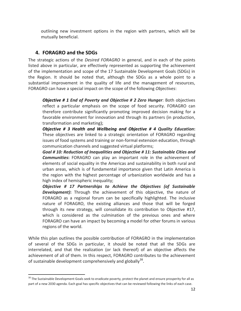outlining new investment options in the region with partners, which will be mutually beneficial.

## <span id="page-13-0"></span>**4. FORAGRO and the SDGs**

The strategic actions of the *Desired FORAGRO* in general, and in each of the points listed above in particular, are effectively represented as supporting the achievement of the implementation and scope of the 17 Sustainable Development Goals (SDGs) in the Region. It should be noted that, although the SDGs as a whole point to a substantial improvement in the quality of life and the management of resources, FORAGRO can have a special impact on the scope of the following *Objectives*:

*Objective # 1 End of Poverty and Objective # 2 Zero Hunger*: Both objectives reflect a particular emphasis on the scope of food security. FORAGRO can therefore contribute significantly promoting improved decision making for a favorable environment for innovation and through its partners (in production, transformation and marketing);

*Objective # 3 Health and Wellbeing and Objective # 4 Quality Education***:** These objectives are linked to a strategic orientation of FORAGRO regarding issues of food systems and training or non-formal extension education, through communication channels and suggested virtual platforms;

*Goal # 10: Reduction of Inequalities and Objective # 11: Sustainable Cities and Communities***:** FORAGRO can play an important role in the achievement of elements of social equality in the Americas and sustainability in both rural and urban areas, which is of fundamental importance given that Latin America is the region with the highest percentage of urbanization worldwide and has a high index of hemispheric inequality;

*Objective # 17 Partnerships to Achieve the Objectives (of Sustainable Development)***:** Through the achievement of this objective, the nature of FORAGRO as a regional forum can be specifically highlighted. The inclusive nature of FORAGRO, the existing alliances and those that will be forged through its new strategy, will consolidate its contribution to Objective #17, which is considered as the culmination of the previous ones and where FORAGRO can have an impact by becoming a model for other forums in various regions of the world.

While this plan outlines the possible contribution of FORAGRO in the implementation of several of the SDGs in particular, it should be noted that all the SDGs are interrelated, and that the realization (or lack thereof) of an objective affects the achievement of all of them. In this respect, FORAGRO contributes to the achievement of sustainable development comprehensively and globally<sup>16</sup>.

 $\overline{a}$ <sup>16</sup> The Sustainable Development Goals seek to eradicate poverty, protect the planet and ensure prosperity for all as part of a new 2030 agenda. Each goal has specific objectives that can be reviewed following the links of each case.